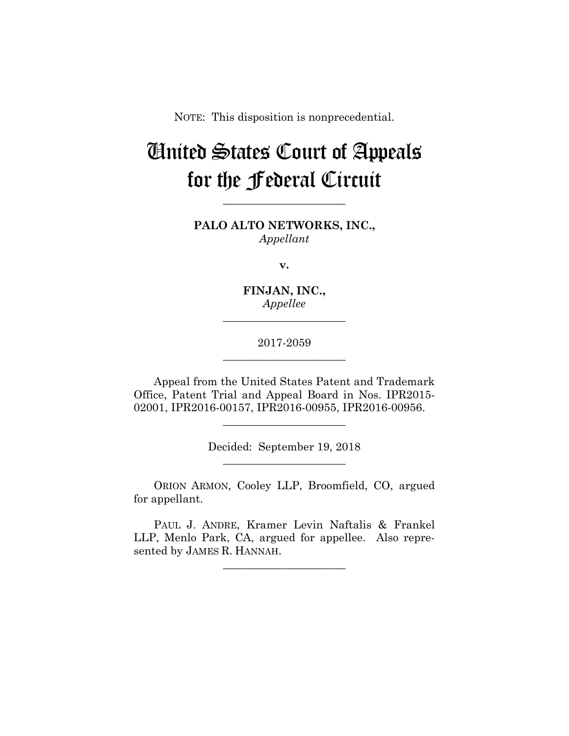NOTE: This disposition is nonprecedential.

# United States Court of Appeals for the Federal Circuit

**PALO ALTO NETWORKS, INC.,** *Appellant*

**\_\_\_\_\_\_\_\_\_\_\_\_\_\_\_\_\_\_\_\_\_\_** 

**v.**

**FINJAN, INC.,** *Appellee*

**\_\_\_\_\_\_\_\_\_\_\_\_\_\_\_\_\_\_\_\_\_\_** 

2017-2059 **\_\_\_\_\_\_\_\_\_\_\_\_\_\_\_\_\_\_\_\_\_\_** 

Appeal from the United States Patent and Trademark Office, Patent Trial and Appeal Board in Nos. IPR2015- 02001, IPR2016-00157, IPR2016-00955, IPR2016-00956.

> Decided: September 19, 2018 **\_\_\_\_\_\_\_\_\_\_\_\_\_\_\_\_\_\_\_\_\_\_**

**\_\_\_\_\_\_\_\_\_\_\_\_\_\_\_\_\_\_\_\_\_\_** 

 ORION ARMON, Cooley LLP, Broomfield, CO, argued for appellant.

 PAUL J. ANDRE, Kramer Levin Naftalis & Frankel LLP, Menlo Park, CA, argued for appellee. Also represented by JAMES R. HANNAH.

**\_\_\_\_\_\_\_\_\_\_\_\_\_\_\_\_\_\_\_\_\_\_**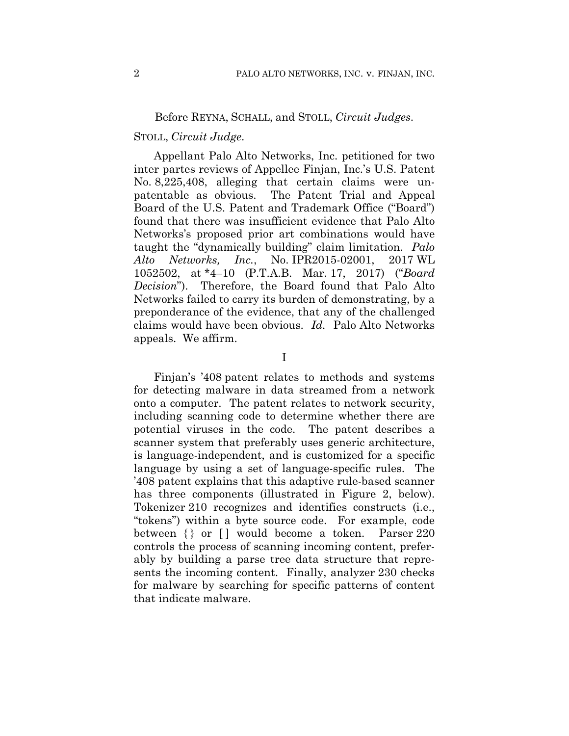## Before REYNA, SCHALL, and STOLL, *Circuit Judges*.

#### STOLL, *Circuit Judge*.

Appellant Palo Alto Networks, Inc. petitioned for two inter partes reviews of Appellee Finjan, Inc.'s U.S. Patent No. 8,225,408, alleging that certain claims were unpatentable as obvious. The Patent Trial and Appeal Board of the U.S. Patent and Trademark Office ("Board") found that there was insufficient evidence that Palo Alto Networks's proposed prior art combinations would have taught the "dynamically building" claim limitation. *Palo Alto Networks, Inc.*, No. IPR2015-02001, 2017 WL 1052502, at \*4–10 (P.T.A.B. Mar. 17, 2017) ("*Board Decision*"). Therefore, the Board found that Palo Alto Networks failed to carry its burden of demonstrating, by a preponderance of the evidence, that any of the challenged claims would have been obvious. *Id.* Palo Alto Networks appeals. We affirm.

I

Finjan's '408 patent relates to methods and systems for detecting malware in data streamed from a network onto a computer. The patent relates to network security, including scanning code to determine whether there are potential viruses in the code. The patent describes a scanner system that preferably uses generic architecture, is language-independent, and is customized for a specific language by using a set of language-specific rules. The '408 patent explains that this adaptive rule-based scanner has three components (illustrated in Figure 2, below). Tokenizer 210 recognizes and identifies constructs (i.e., "tokens") within a byte source code. For example, code between  $\{\}\$  or  $\lceil \ \vert$  would become a token. Parser 220 controls the process of scanning incoming content, preferably by building a parse tree data structure that represents the incoming content. Finally, analyzer 230 checks for malware by searching for specific patterns of content that indicate malware.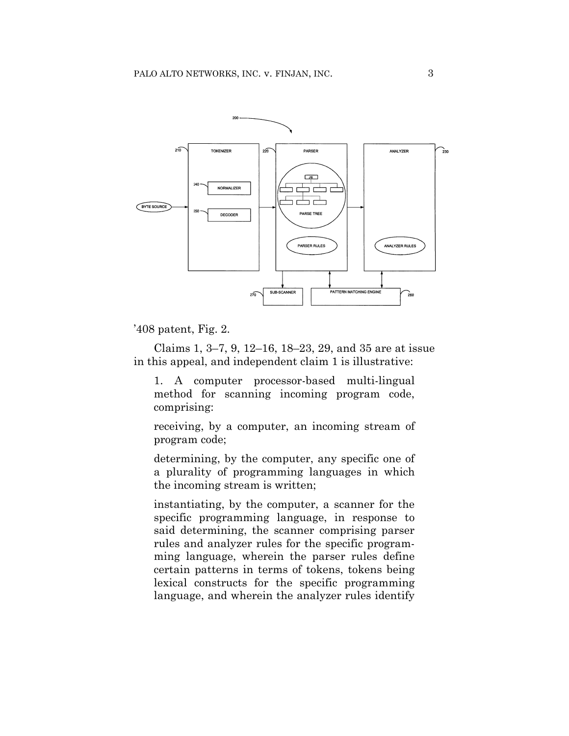

'408 patent, Fig. 2.

Claims 1, 3–7, 9, 12–16, 18–23, 29, and 35 are at issue in this appeal, and independent claim 1 is illustrative:

1. A computer processor-based multi-lingual method for scanning incoming program code, comprising:

receiving, by a computer, an incoming stream of program code;

determining, by the computer, any specific one of a plurality of programming languages in which the incoming stream is written;

instantiating, by the computer, a scanner for the specific programming language, in response to said determining, the scanner comprising parser rules and analyzer rules for the specific programming language, wherein the parser rules define certain patterns in terms of tokens, tokens being lexical constructs for the specific programming language, and wherein the analyzer rules identify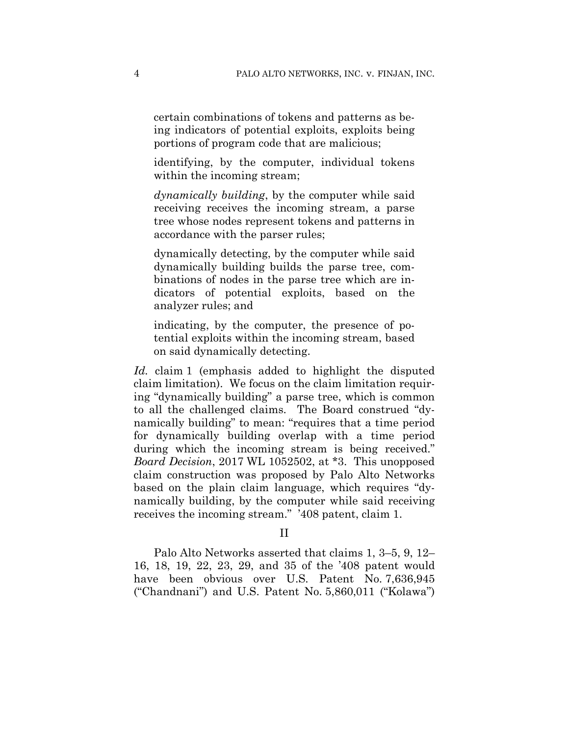certain combinations of tokens and patterns as being indicators of potential exploits, exploits being portions of program code that are malicious;

identifying, by the computer, individual tokens within the incoming stream;

*dynamically building*, by the computer while said receiving receives the incoming stream, a parse tree whose nodes represent tokens and patterns in accordance with the parser rules;

dynamically detecting, by the computer while said dynamically building builds the parse tree, combinations of nodes in the parse tree which are indicators of potential exploits, based on the analyzer rules; and

indicating, by the computer, the presence of potential exploits within the incoming stream, based on said dynamically detecting.

*Id.* claim 1 (emphasis added to highlight the disputed claim limitation). We focus on the claim limitation requiring "dynamically building" a parse tree, which is common to all the challenged claims. The Board construed "dynamically building" to mean: "requires that a time period for dynamically building overlap with a time period during which the incoming stream is being received." *Board Decision*, 2017 WL 1052502, at \*3. This unopposed claim construction was proposed by Palo Alto Networks based on the plain claim language, which requires "dynamically building, by the computer while said receiving receives the incoming stream." '408 patent, claim 1.

# II

Palo Alto Networks asserted that claims 1, 3–5, 9, 12– 16, 18, 19, 22, 23, 29, and 35 of the '408 patent would have been obvious over U.S. Patent No. 7,636,945 ("Chandnani") and U.S. Patent No. 5,860,011 ("Kolawa")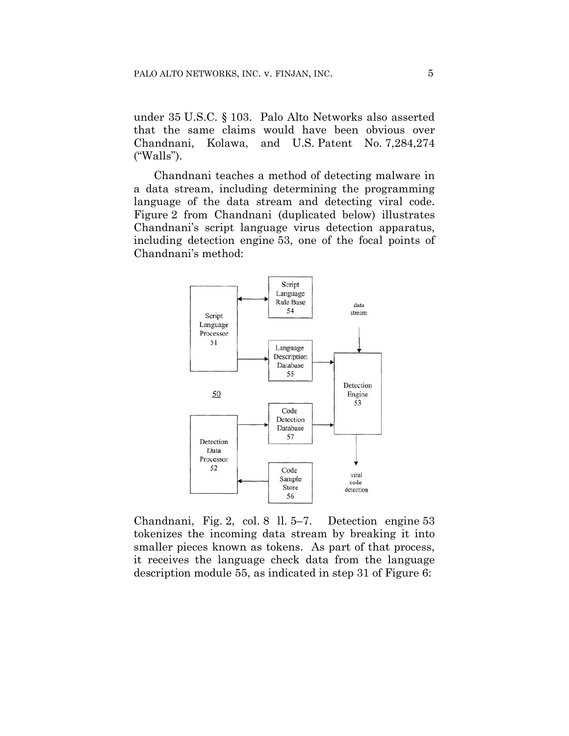under 35 U.S.C. § 103. Palo Alto Networks also asserted that the same claims would have been obvious over Chandnani, Kolawa, and U.S. Patent No. 7,284,274 ("Walls").

Chandnani teaches a method of detecting malware in a data stream, including determining the programming language of the data stream and detecting viral code. Figure 2 from Chandnani (duplicated below) illustrates Chandnani's script language virus detection apparatus, including detection engine 53, one of the focal points of Chandnani's method:



Chandnani, Fig. 2, col. 8 ll. 5–7. Detection engine 53 tokenizes the incoming data stream by breaking it into smaller pieces known as tokens. As part of that process, it receives the language check data from the language description module 55, as indicated in step 31 of Figure 6: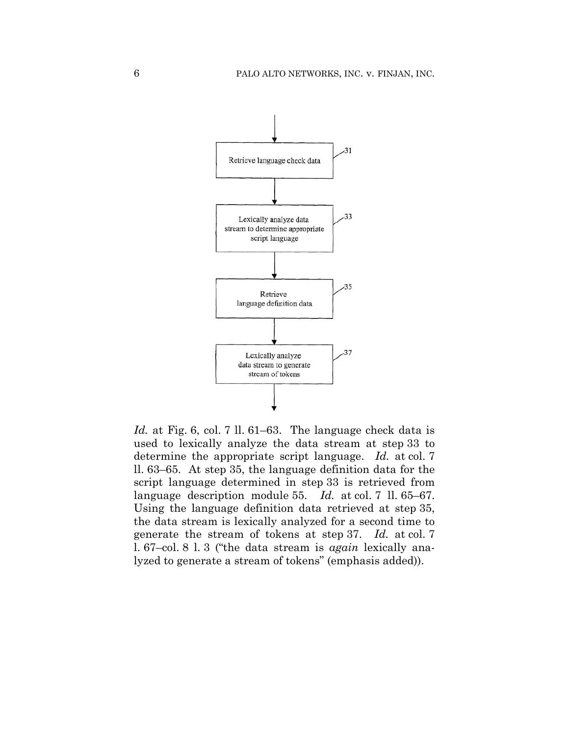

*Id.* at Fig. 6, col. 7 ll. 61–63. The language check data is used to lexically analyze the data stream at step 33 to determine the appropriate script language. *Id.* at col. 7 ll. 63–65. At step 35, the language definition data for the script language determined in step 33 is retrieved from language description module 55. *Id.* at col. 7 ll. 65–67. Using the language definition data retrieved at step 35, the data stream is lexically analyzed for a second time to generate the stream of tokens at step 37. *Id.* at col. 7 l. 67–col. 8 l. 3 ("the data stream is *again* lexically analyzed to generate a stream of tokens" (emphasis added)).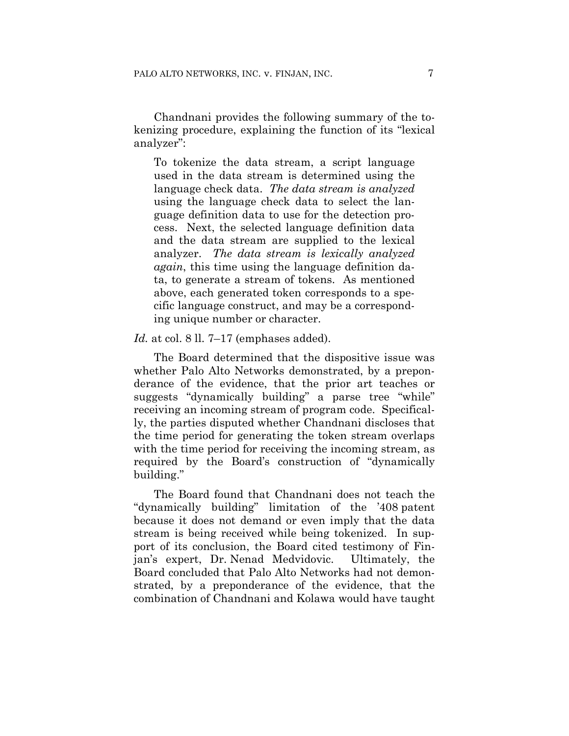Chandnani provides the following summary of the tokenizing procedure, explaining the function of its "lexical analyzer":

To tokenize the data stream, a script language used in the data stream is determined using the language check data. *The data stream is analyzed* using the language check data to select the language definition data to use for the detection process. Next, the selected language definition data and the data stream are supplied to the lexical analyzer. *The data stream is lexically analyzed again*, this time using the language definition data, to generate a stream of tokens. As mentioned above, each generated token corresponds to a specific language construct, and may be a corresponding unique number or character.

*Id.* at col. 8 ll. 7–17 (emphases added).

The Board determined that the dispositive issue was whether Palo Alto Networks demonstrated, by a preponderance of the evidence, that the prior art teaches or suggests "dynamically building" a parse tree "while" receiving an incoming stream of program code. Specifically, the parties disputed whether Chandnani discloses that the time period for generating the token stream overlaps with the time period for receiving the incoming stream, as required by the Board's construction of "dynamically building."

The Board found that Chandnani does not teach the "dynamically building" limitation of the '408 patent because it does not demand or even imply that the data stream is being received while being tokenized. In support of its conclusion, the Board cited testimony of Finjan's expert, Dr. Nenad Medvidovic. Ultimately, the Board concluded that Palo Alto Networks had not demonstrated, by a preponderance of the evidence, that the combination of Chandnani and Kolawa would have taught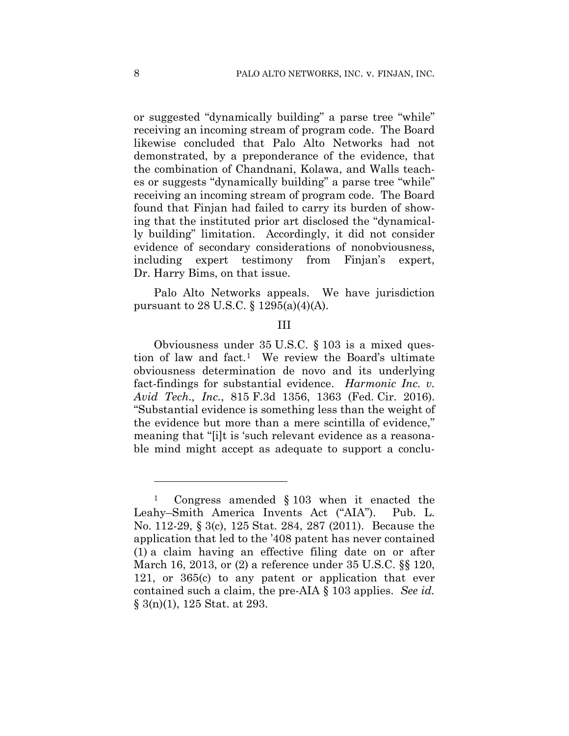or suggested "dynamically building" a parse tree "while" receiving an incoming stream of program code. The Board likewise concluded that Palo Alto Networks had not demonstrated, by a preponderance of the evidence, that the combination of Chandnani, Kolawa, and Walls teaches or suggests "dynamically building" a parse tree "while" receiving an incoming stream of program code. The Board found that Finjan had failed to carry its burden of showing that the instituted prior art disclosed the "dynamically building" limitation. Accordingly, it did not consider evidence of secondary considerations of nonobviousness, including expert testimony from Finjan's expert, Dr. Harry Bims, on that issue.

Palo Alto Networks appeals. We have jurisdiction pursuant to 28 U.S.C. § 1295(a)(4)(A).

### III

Obviousness under 35 U.S.C. § 103 is a mixed question of law and fact.1 We review the Board's ultimate obviousness determination de novo and its underlying fact-findings for substantial evidence. *Harmonic Inc. v. Avid Tech., Inc.*, 815 F.3d 1356, 1363 (Fed. Cir. 2016). "Substantial evidence is something less than the weight of the evidence but more than a mere scintilla of evidence," meaning that "[i]t is 'such relevant evidence as a reasonable mind might accept as adequate to support a conclu-

1

<sup>1</sup> Congress amended § 103 when it enacted the Leahy–Smith America Invents Act ("AIA"). Pub. L. No. 112-29, § 3(c), 125 Stat. 284, 287 (2011). Because the application that led to the '408 patent has never contained (1) a claim having an effective filing date on or after March 16, 2013, or (2) a reference under 35 U.S.C. §§ 120, 121, or 365(c) to any patent or application that ever contained such a claim, the pre-AIA § 103 applies. *See id.* § 3(n)(1), 125 Stat. at 293.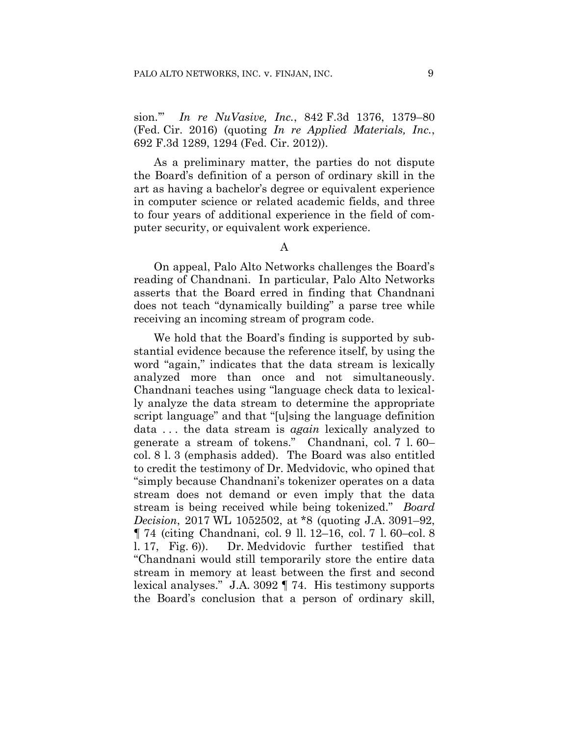sion.'" *In re NuVasive, Inc.*, 842 F.3d 1376, 1379–80 (Fed. Cir. 2016) (quoting *In re Applied Materials, Inc.*, 692 F.3d 1289, 1294 (Fed. Cir. 2012)).

As a preliminary matter, the parties do not dispute the Board's definition of a person of ordinary skill in the art as having a bachelor's degree or equivalent experience in computer science or related academic fields, and three to four years of additional experience in the field of computer security, or equivalent work experience.

A

On appeal, Palo Alto Networks challenges the Board's reading of Chandnani. In particular, Palo Alto Networks asserts that the Board erred in finding that Chandnani does not teach "dynamically building" a parse tree while receiving an incoming stream of program code.

We hold that the Board's finding is supported by substantial evidence because the reference itself, by using the word "again," indicates that the data stream is lexically analyzed more than once and not simultaneously. Chandnani teaches using "language check data to lexically analyze the data stream to determine the appropriate script language" and that "[u]sing the language definition data . . . the data stream is *again* lexically analyzed to generate a stream of tokens." Chandnani, col. 7 l. 60– col. 8 l. 3 (emphasis added).The Board was also entitled to credit the testimony of Dr. Medvidovic, who opined that "simply because Chandnani's tokenizer operates on a data stream does not demand or even imply that the data stream is being received while being tokenized." *Board Decision*, 2017 WL 1052502, at \*8 (quoting J.A. 3091–92, ¶ 74 (citing Chandnani, col. 9 ll. 12–16, col. 7 l. 60–col. 8 l. 17, Fig. 6)). Dr. Medvidovic further testified that "Chandnani would still temporarily store the entire data stream in memory at least between the first and second lexical analyses." J.A. 3092 ¶ 74. His testimony supports the Board's conclusion that a person of ordinary skill,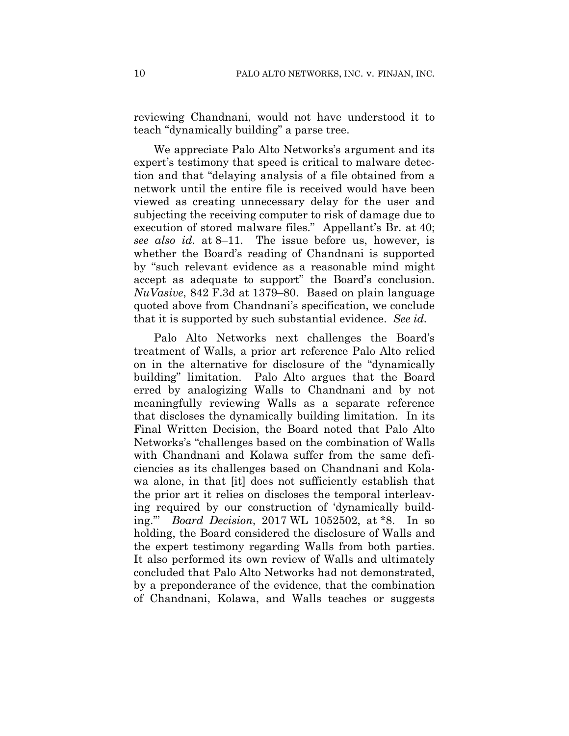reviewing Chandnani, would not have understood it to teach "dynamically building" a parse tree.

We appreciate Palo Alto Networks's argument and its expert's testimony that speed is critical to malware detection and that "delaying analysis of a file obtained from a network until the entire file is received would have been viewed as creating unnecessary delay for the user and subjecting the receiving computer to risk of damage due to execution of stored malware files." Appellant's Br. at 40; *see also id.* at 8–11.The issue before us, however, is whether the Board's reading of Chandnani is supported by "such relevant evidence as a reasonable mind might accept as adequate to support" the Board's conclusion. *NuVasive*, 842 F.3d at 1379–80. Based on plain language quoted above from Chandnani's specification, we conclude that it is supported by such substantial evidence. *See id.* 

Palo Alto Networks next challenges the Board's treatment of Walls, a prior art reference Palo Alto relied on in the alternative for disclosure of the "dynamically building" limitation. Palo Alto argues that the Board erred by analogizing Walls to Chandnani and by not meaningfully reviewing Walls as a separate reference that discloses the dynamically building limitation. In its Final Written Decision, the Board noted that Palo Alto Networks's "challenges based on the combination of Walls with Chandnani and Kolawa suffer from the same deficiencies as its challenges based on Chandnani and Kolawa alone, in that [it] does not sufficiently establish that the prior art it relies on discloses the temporal interleaving required by our construction of 'dynamically building.'" *Board Decision*, 2017 WL 1052502, at \*8. In so holding, the Board considered the disclosure of Walls and the expert testimony regarding Walls from both parties. It also performed its own review of Walls and ultimately concluded that Palo Alto Networks had not demonstrated, by a preponderance of the evidence, that the combination of Chandnani, Kolawa, and Walls teaches or suggests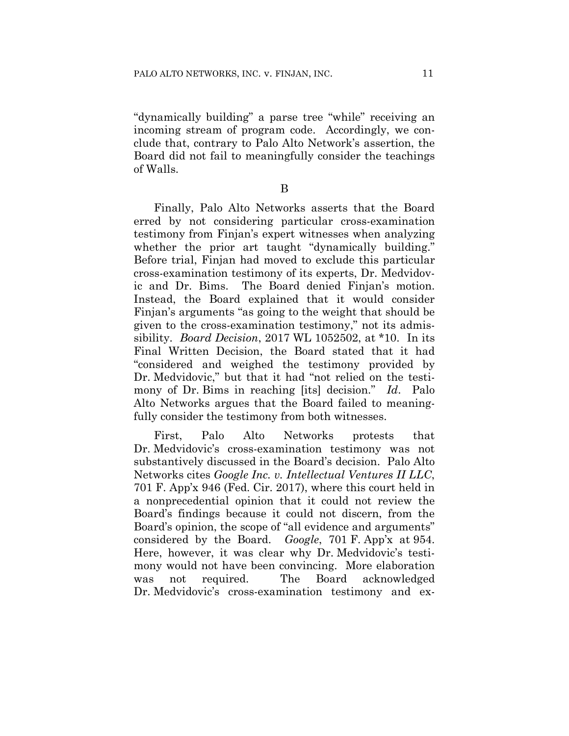"dynamically building" a parse tree "while" receiving an incoming stream of program code. Accordingly, we conclude that, contrary to Palo Alto Network's assertion, the Board did not fail to meaningfully consider the teachings of Walls.

B

Finally, Palo Alto Networks asserts that the Board erred by not considering particular cross-examination testimony from Finjan's expert witnesses when analyzing whether the prior art taught "dynamically building." Before trial, Finjan had moved to exclude this particular cross-examination testimony of its experts, Dr. Medvidovic and Dr. Bims. The Board denied Finjan's motion. Instead, the Board explained that it would consider Finjan's arguments "as going to the weight that should be given to the cross-examination testimony," not its admissibility. *Board Decision*, 2017 WL 1052502, at \*10.In its Final Written Decision, the Board stated that it had "considered and weighed the testimony provided by Dr. Medvidovic," but that it had "not relied on the testimony of Dr. Bims in reaching [its] decision." *Id*. Palo Alto Networks argues that the Board failed to meaningfully consider the testimony from both witnesses.

First, Palo Alto Networks protests that Dr. Medvidovic's cross-examination testimony was not substantively discussed in the Board's decision. Palo Alto Networks cites *Google Inc. v. Intellectual Ventures II LLC*, 701 F. App'x 946 (Fed. Cir. 2017), where this court held in a nonprecedential opinion that it could not review the Board's findings because it could not discern, from the Board's opinion, the scope of "all evidence and arguments" considered by the Board. *Google*, 701 F. App'x at 954. Here, however, it was clear why Dr. Medvidovic's testimony would not have been convincing. More elaboration was not required. The Board acknowledged Dr. Medvidovic's cross-examination testimony and ex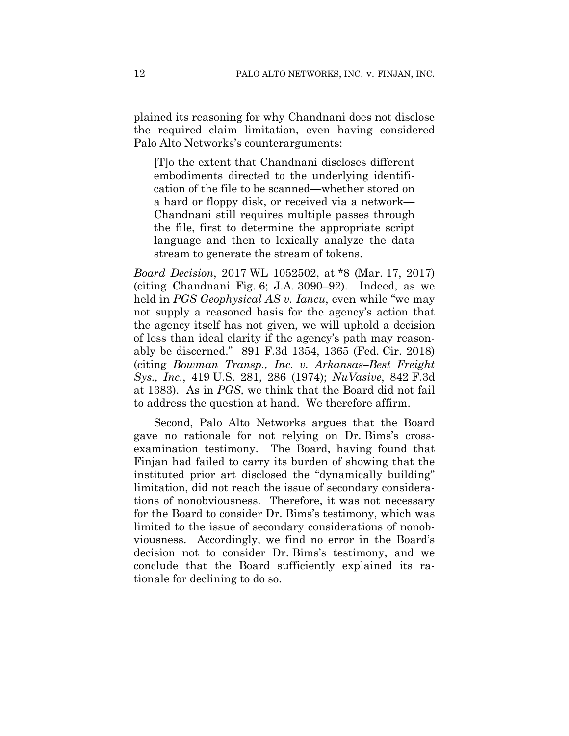plained its reasoning for why Chandnani does not disclose the required claim limitation, even having considered Palo Alto Networks's counterarguments:

[T]o the extent that Chandnani discloses different embodiments directed to the underlying identification of the file to be scanned—whether stored on a hard or floppy disk, or received via a network— Chandnani still requires multiple passes through the file, first to determine the appropriate script language and then to lexically analyze the data stream to generate the stream of tokens.

*Board Decision*, 2017 WL 1052502, at \*8 (Mar. 17, 2017) (citing Chandnani Fig. 6; J.A. 3090–92). Indeed, as we held in *PGS Geophysical AS v. Iancu*, even while "we may not supply a reasoned basis for the agency's action that the agency itself has not given, we will uphold a decision of less than ideal clarity if the agency's path may reasonably be discerned." 891 F.3d 1354, 1365 (Fed. Cir. 2018) (citing *Bowman Transp., Inc. v. Arkansas–Best Freight Sys., Inc.*, 419 U.S. 281, 286 (1974); *NuVasive*, 842 F.3d at 1383). As in *PGS*, we think that the Board did not fail to address the question at hand. We therefore affirm.

Second, Palo Alto Networks argues that the Board gave no rationale for not relying on Dr. Bims's crossexamination testimony. The Board, having found that Finjan had failed to carry its burden of showing that the instituted prior art disclosed the "dynamically building" limitation, did not reach the issue of secondary considerations of nonobviousness. Therefore, it was not necessary for the Board to consider Dr. Bims's testimony, which was limited to the issue of secondary considerations of nonobviousness. Accordingly, we find no error in the Board's decision not to consider Dr. Bims's testimony, and we conclude that the Board sufficiently explained its rationale for declining to do so.